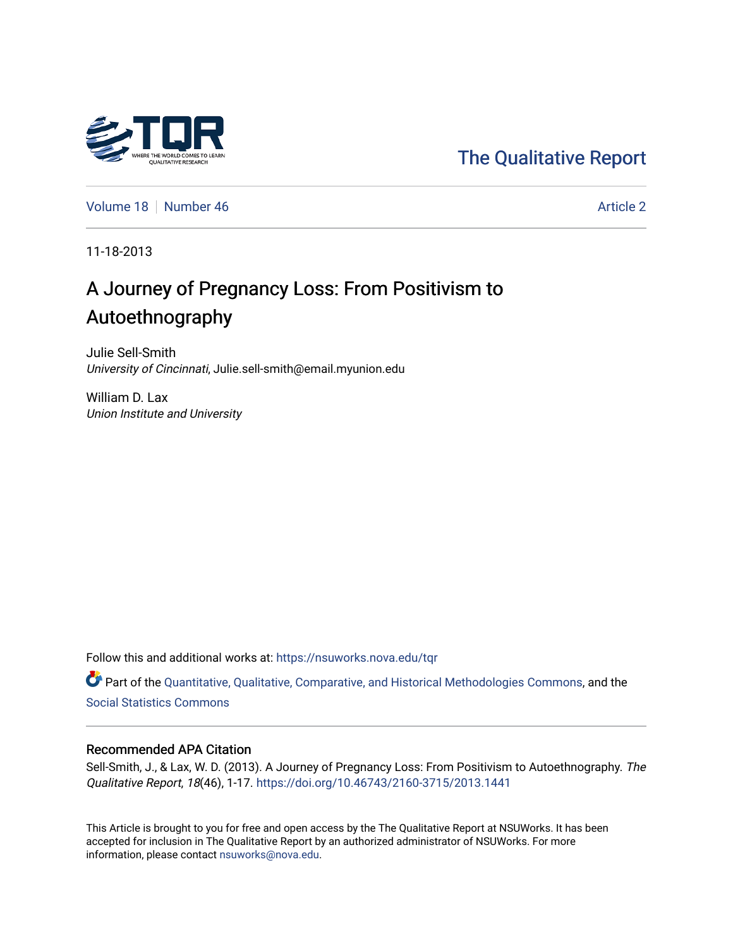# [The Qualitative Report](https://nsuworks.nova.edu/tqr)

[Volume 18](https://nsuworks.nova.edu/tqr/vol18) [Number 46](https://nsuworks.nova.edu/tqr/vol18/iss46) Article 2

11-18-2013

# A Journey of Pregnancy Loss: From Positivism to Autoethnography

Julie Sell-Smith University of Cincinnati, Julie.sell-smith@email.myunion.edu

William D. Lax Union Institute and University

Follow this and additional works at: [https://nsuworks.nova.edu/tqr](https://nsuworks.nova.edu/tqr?utm_source=nsuworks.nova.edu%2Ftqr%2Fvol18%2Fiss46%2F2&utm_medium=PDF&utm_campaign=PDFCoverPages) 

Part of the [Quantitative, Qualitative, Comparative, and Historical Methodologies Commons,](http://network.bepress.com/hgg/discipline/423?utm_source=nsuworks.nova.edu%2Ftqr%2Fvol18%2Fiss46%2F2&utm_medium=PDF&utm_campaign=PDFCoverPages) and the [Social Statistics Commons](http://network.bepress.com/hgg/discipline/1275?utm_source=nsuworks.nova.edu%2Ftqr%2Fvol18%2Fiss46%2F2&utm_medium=PDF&utm_campaign=PDFCoverPages) 

#### Recommended APA Citation

Sell-Smith, J., & Lax, W. D. (2013). A Journey of Pregnancy Loss: From Positivism to Autoethnography. The Qualitative Report, 18(46), 1-17.<https://doi.org/10.46743/2160-3715/2013.1441>

This Article is brought to you for free and open access by the The Qualitative Report at NSUWorks. It has been accepted for inclusion in The Qualitative Report by an authorized administrator of NSUWorks. For more information, please contact [nsuworks@nova.edu.](mailto:nsuworks@nova.edu)

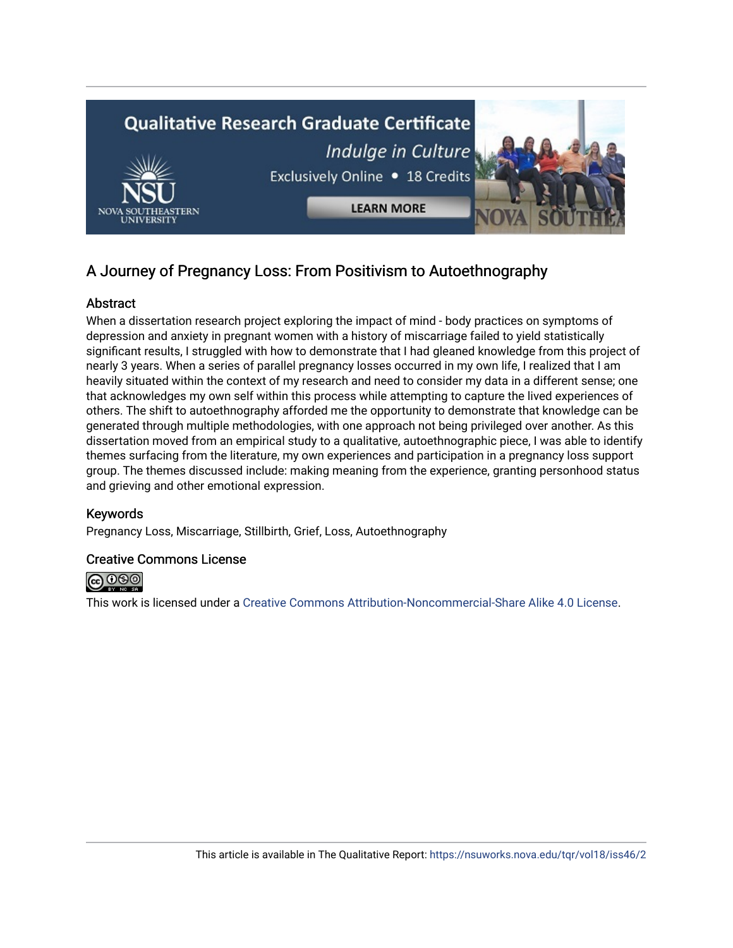

# A Journey of Pregnancy Loss: From Positivism to Autoethnography

## Abstract

When a dissertation research project exploring the impact of mind - body practices on symptoms of depression and anxiety in pregnant women with a history of miscarriage failed to yield statistically significant results, I struggled with how to demonstrate that I had gleaned knowledge from this project of nearly 3 years. When a series of parallel pregnancy losses occurred in my own life, I realized that I am heavily situated within the context of my research and need to consider my data in a different sense; one that acknowledges my own self within this process while attempting to capture the lived experiences of others. The shift to autoethnography afforded me the opportunity to demonstrate that knowledge can be generated through multiple methodologies, with one approach not being privileged over another. As this dissertation moved from an empirical study to a qualitative, autoethnographic piece, I was able to identify themes surfacing from the literature, my own experiences and participation in a pregnancy loss support group. The themes discussed include: making meaning from the experience, granting personhood status and grieving and other emotional expression.

# Keywords

Pregnancy Loss, Miscarriage, Stillbirth, Grief, Loss, Autoethnography

### Creative Commons License



This work is licensed under a [Creative Commons Attribution-Noncommercial-Share Alike 4.0 License](https://creativecommons.org/licenses/by-nc-sa/4.0/).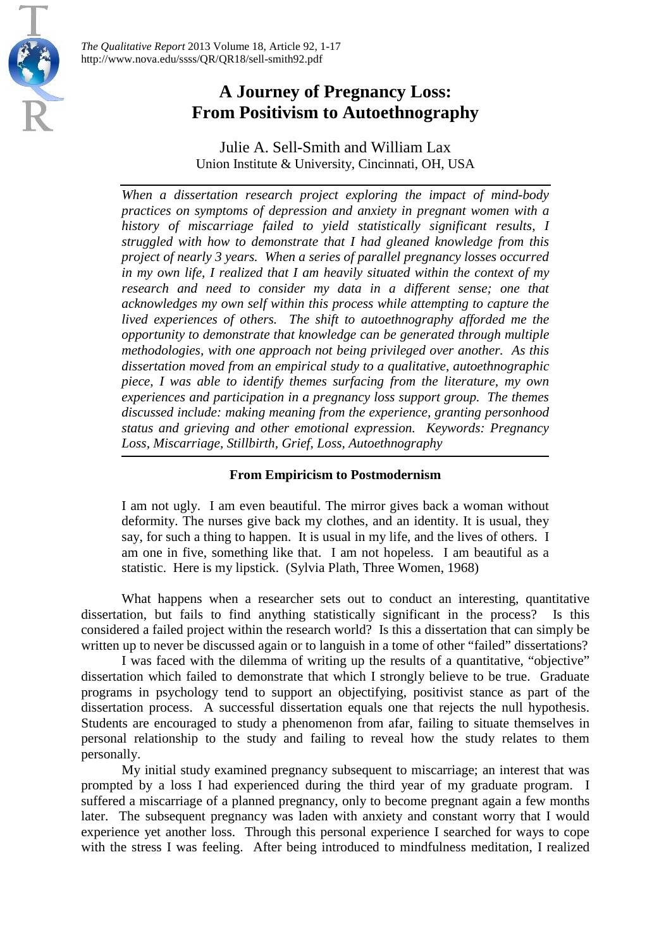美



Julie A. Sell-Smith and William Lax Union Institute & University, Cincinnati, OH, USA

*When a dissertation research project exploring the impact of mind-body practices on symptoms of depression and anxiety in pregnant women with a history of miscarriage failed to yield statistically significant results, I struggled with how to demonstrate that I had gleaned knowledge from this project of nearly 3 years. When a series of parallel pregnancy losses occurred in my own life, I realized that I am heavily situated within the context of my research and need to consider my data in a different sense; one that acknowledges my own self within this process while attempting to capture the lived experiences of others. The shift to autoethnography afforded me the opportunity to demonstrate that knowledge can be generated through multiple methodologies, with one approach not being privileged over another. As this dissertation moved from an empirical study to a qualitative, autoethnographic piece, I was able to identify themes surfacing from the literature, my own experiences and participation in a pregnancy loss support group. The themes discussed include: making meaning from the experience, granting personhood status and grieving and other emotional expression. Keywords: Pregnancy Loss, Miscarriage, Stillbirth, Grief, Loss, Autoethnography*

#### **From Empiricism to Postmodernism**

I am not ugly. I am even beautiful. The mirror gives back a woman without deformity. The nurses give back my clothes, and an identity. It is usual, they say, for such a thing to happen. It is usual in my life, and the lives of others. I am one in five, something like that. I am not hopeless. I am beautiful as a statistic. Here is my lipstick. (Sylvia Plath, Three Women, 1968)

What happens when a researcher sets out to conduct an interesting, quantitative dissertation, but fails to find anything statistically significant in the process? Is this considered a failed project within the research world? Is this a dissertation that can simply be written up to never be discussed again or to languish in a tome of other "failed" dissertations?

I was faced with the dilemma of writing up the results of a quantitative, "objective" dissertation which failed to demonstrate that which I strongly believe to be true. Graduate programs in psychology tend to support an objectifying, positivist stance as part of the dissertation process. A successful dissertation equals one that rejects the null hypothesis. Students are encouraged to study a phenomenon from afar, failing to situate themselves in personal relationship to the study and failing to reveal how the study relates to them personally.

My initial study examined pregnancy subsequent to miscarriage; an interest that was prompted by a loss I had experienced during the third year of my graduate program. I suffered a miscarriage of a planned pregnancy, only to become pregnant again a few months later. The subsequent pregnancy was laden with anxiety and constant worry that I would experience yet another loss. Through this personal experience I searched for ways to cope with the stress I was feeling. After being introduced to mindfulness meditation, I realized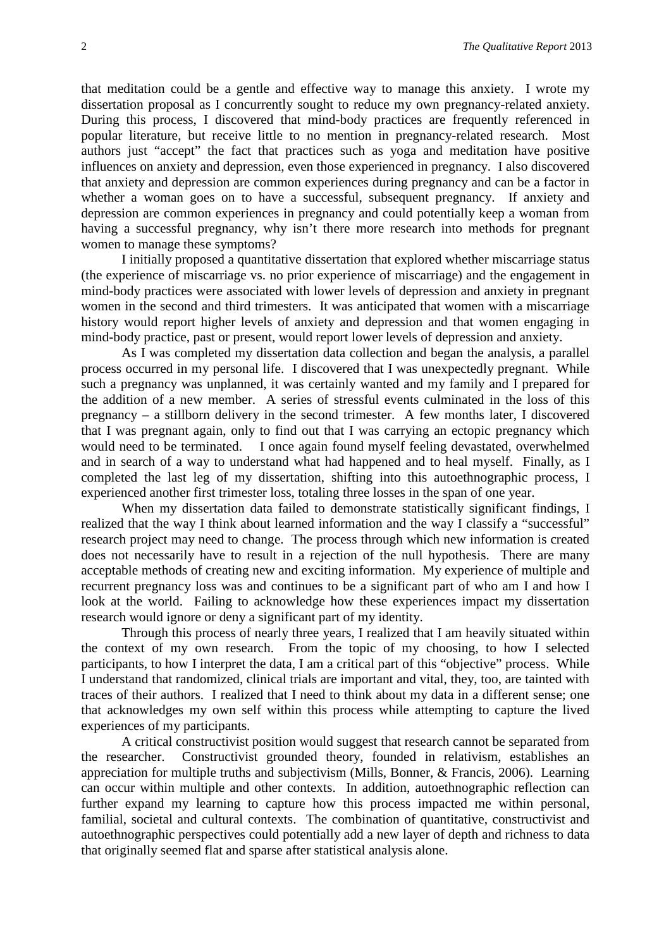that meditation could be a gentle and effective way to manage this anxiety. I wrote my dissertation proposal as I concurrently sought to reduce my own pregnancy-related anxiety. During this process, I discovered that mind-body practices are frequently referenced in popular literature, but receive little to no mention in pregnancy-related research. Most authors just "accept" the fact that practices such as yoga and meditation have positive influences on anxiety and depression, even those experienced in pregnancy. I also discovered that anxiety and depression are common experiences during pregnancy and can be a factor in whether a woman goes on to have a successful, subsequent pregnancy. If anxiety and depression are common experiences in pregnancy and could potentially keep a woman from having a successful pregnancy, why isn't there more research into methods for pregnant women to manage these symptoms?

I initially proposed a quantitative dissertation that explored whether miscarriage status (the experience of miscarriage vs. no prior experience of miscarriage) and the engagement in mind-body practices were associated with lower levels of depression and anxiety in pregnant women in the second and third trimesters. It was anticipated that women with a miscarriage history would report higher levels of anxiety and depression and that women engaging in mind-body practice, past or present, would report lower levels of depression and anxiety.

As I was completed my dissertation data collection and began the analysis, a parallel process occurred in my personal life. I discovered that I was unexpectedly pregnant. While such a pregnancy was unplanned, it was certainly wanted and my family and I prepared for the addition of a new member. A series of stressful events culminated in the loss of this pregnancy – a stillborn delivery in the second trimester. A few months later, I discovered that I was pregnant again, only to find out that I was carrying an ectopic pregnancy which would need to be terminated. I once again found myself feeling devastated, overwhelmed and in search of a way to understand what had happened and to heal myself. Finally, as I completed the last leg of my dissertation, shifting into this autoethnographic process, I experienced another first trimester loss, totaling three losses in the span of one year.

When my dissertation data failed to demonstrate statistically significant findings, I realized that the way I think about learned information and the way I classify a "successful" research project may need to change. The process through which new information is created does not necessarily have to result in a rejection of the null hypothesis. There are many acceptable methods of creating new and exciting information. My experience of multiple and recurrent pregnancy loss was and continues to be a significant part of who am I and how I look at the world. Failing to acknowledge how these experiences impact my dissertation research would ignore or deny a significant part of my identity.

Through this process of nearly three years, I realized that I am heavily situated within the context of my own research. From the topic of my choosing, to how I selected participants, to how I interpret the data, I am a critical part of this "objective" process. While I understand that randomized, clinical trials are important and vital, they, too, are tainted with traces of their authors. I realized that I need to think about my data in a different sense; one that acknowledges my own self within this process while attempting to capture the lived experiences of my participants.

A critical constructivist position would suggest that research cannot be separated from the researcher. Constructivist grounded theory, founded in relativism, establishes an appreciation for multiple truths and subjectivism (Mills, Bonner, & Francis, 2006). Learning can occur within multiple and other contexts. In addition, autoethnographic reflection can further expand my learning to capture how this process impacted me within personal, familial, societal and cultural contexts. The combination of quantitative, constructivist and autoethnographic perspectives could potentially add a new layer of depth and richness to data that originally seemed flat and sparse after statistical analysis alone.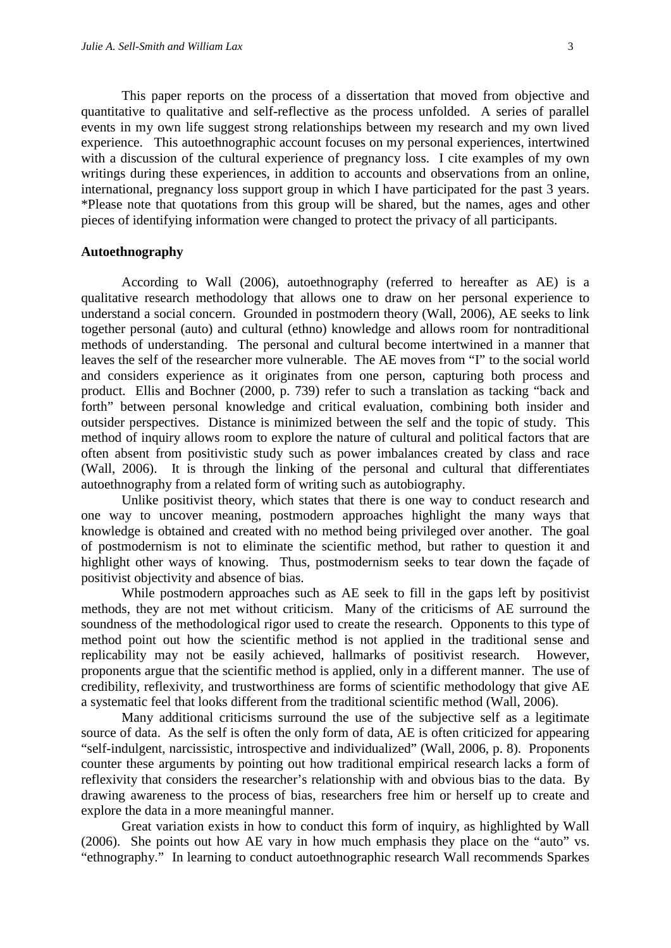This paper reports on the process of a dissertation that moved from objective and quantitative to qualitative and self-reflective as the process unfolded. A series of parallel events in my own life suggest strong relationships between my research and my own lived experience. This autoethnographic account focuses on my personal experiences, intertwined with a discussion of the cultural experience of pregnancy loss. I cite examples of my own writings during these experiences, in addition to accounts and observations from an online, international, pregnancy loss support group in which I have participated for the past 3 years. \*Please note that quotations from this group will be shared, but the names, ages and other pieces of identifying information were changed to protect the privacy of all participants.

#### **Autoethnography**

According to Wall (2006), autoethnography (referred to hereafter as AE) is a qualitative research methodology that allows one to draw on her personal experience to understand a social concern. Grounded in postmodern theory (Wall, 2006), AE seeks to link together personal (auto) and cultural (ethno) knowledge and allows room for nontraditional methods of understanding. The personal and cultural become intertwined in a manner that leaves the self of the researcher more vulnerable. The AE moves from "I" to the social world and considers experience as it originates from one person, capturing both process and product. Ellis and Bochner (2000, p. 739) refer to such a translation as tacking "back and forth" between personal knowledge and critical evaluation, combining both insider and outsider perspectives. Distance is minimized between the self and the topic of study. This method of inquiry allows room to explore the nature of cultural and political factors that are often absent from positivistic study such as power imbalances created by class and race (Wall, 2006). It is through the linking of the personal and cultural that differentiates autoethnography from a related form of writing such as autobiography.

Unlike positivist theory, which states that there is one way to conduct research and one way to uncover meaning, postmodern approaches highlight the many ways that knowledge is obtained and created with no method being privileged over another. The goal of postmodernism is not to eliminate the scientific method, but rather to question it and highlight other ways of knowing. Thus, postmodernism seeks to tear down the façade of positivist objectivity and absence of bias.

While postmodern approaches such as AE seek to fill in the gaps left by positivist methods, they are not met without criticism. Many of the criticisms of AE surround the soundness of the methodological rigor used to create the research. Opponents to this type of method point out how the scientific method is not applied in the traditional sense and replicability may not be easily achieved, hallmarks of positivist research. However, proponents argue that the scientific method is applied, only in a different manner. The use of credibility, reflexivity, and trustworthiness are forms of scientific methodology that give AE a systematic feel that looks different from the traditional scientific method (Wall, 2006).

Many additional criticisms surround the use of the subjective self as a legitimate source of data. As the self is often the only form of data, AE is often criticized for appearing "self-indulgent, narcissistic, introspective and individualized" (Wall, 2006, p. 8). Proponents counter these arguments by pointing out how traditional empirical research lacks a form of reflexivity that considers the researcher's relationship with and obvious bias to the data. By drawing awareness to the process of bias, researchers free him or herself up to create and explore the data in a more meaningful manner.

Great variation exists in how to conduct this form of inquiry, as highlighted by Wall (2006). She points out how AE vary in how much emphasis they place on the "auto" vs. "ethnography." In learning to conduct autoethnographic research Wall recommends Sparkes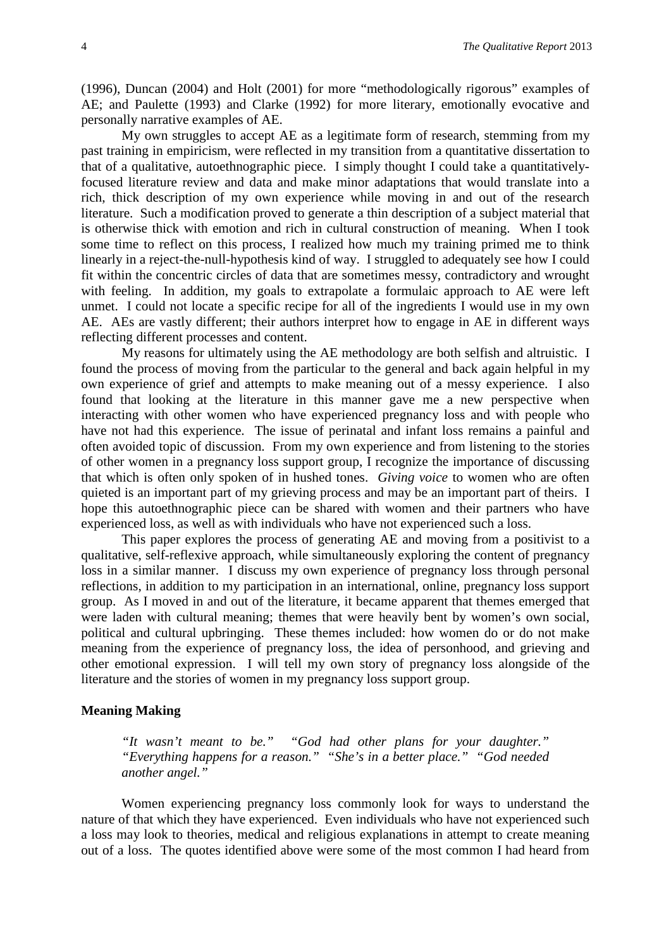(1996), Duncan (2004) and Holt (2001) for more "methodologically rigorous" examples of AE; and Paulette (1993) and Clarke (1992) for more literary, emotionally evocative and personally narrative examples of AE.

My own struggles to accept AE as a legitimate form of research, stemming from my past training in empiricism, were reflected in my transition from a quantitative dissertation to that of a qualitative, autoethnographic piece. I simply thought I could take a quantitativelyfocused literature review and data and make minor adaptations that would translate into a rich, thick description of my own experience while moving in and out of the research literature. Such a modification proved to generate a thin description of a subject material that is otherwise thick with emotion and rich in cultural construction of meaning. When I took some time to reflect on this process, I realized how much my training primed me to think linearly in a reject-the-null-hypothesis kind of way. I struggled to adequately see how I could fit within the concentric circles of data that are sometimes messy, contradictory and wrought with feeling. In addition, my goals to extrapolate a formulaic approach to AE were left unmet. I could not locate a specific recipe for all of the ingredients I would use in my own AE. AEs are vastly different; their authors interpret how to engage in AE in different ways reflecting different processes and content.

My reasons for ultimately using the AE methodology are both selfish and altruistic. I found the process of moving from the particular to the general and back again helpful in my own experience of grief and attempts to make meaning out of a messy experience. I also found that looking at the literature in this manner gave me a new perspective when interacting with other women who have experienced pregnancy loss and with people who have not had this experience. The issue of perinatal and infant loss remains a painful and often avoided topic of discussion. From my own experience and from listening to the stories of other women in a pregnancy loss support group, I recognize the importance of discussing that which is often only spoken of in hushed tones. *Giving voice* to women who are often quieted is an important part of my grieving process and may be an important part of theirs. I hope this autoethnographic piece can be shared with women and their partners who have experienced loss, as well as with individuals who have not experienced such a loss.

This paper explores the process of generating AE and moving from a positivist to a qualitative, self-reflexive approach, while simultaneously exploring the content of pregnancy loss in a similar manner. I discuss my own experience of pregnancy loss through personal reflections, in addition to my participation in an international, online, pregnancy loss support group. As I moved in and out of the literature, it became apparent that themes emerged that were laden with cultural meaning; themes that were heavily bent by women's own social, political and cultural upbringing. These themes included: how women do or do not make meaning from the experience of pregnancy loss, the idea of personhood, and grieving and other emotional expression. I will tell my own story of pregnancy loss alongside of the literature and the stories of women in my pregnancy loss support group.

#### **Meaning Making**

*"It wasn't meant to be." "God had other plans for your daughter." "Everything happens for a reason." "She's in a better place." "God needed another angel."*

Women experiencing pregnancy loss commonly look for ways to understand the nature of that which they have experienced. Even individuals who have not experienced such a loss may look to theories, medical and religious explanations in attempt to create meaning out of a loss. The quotes identified above were some of the most common I had heard from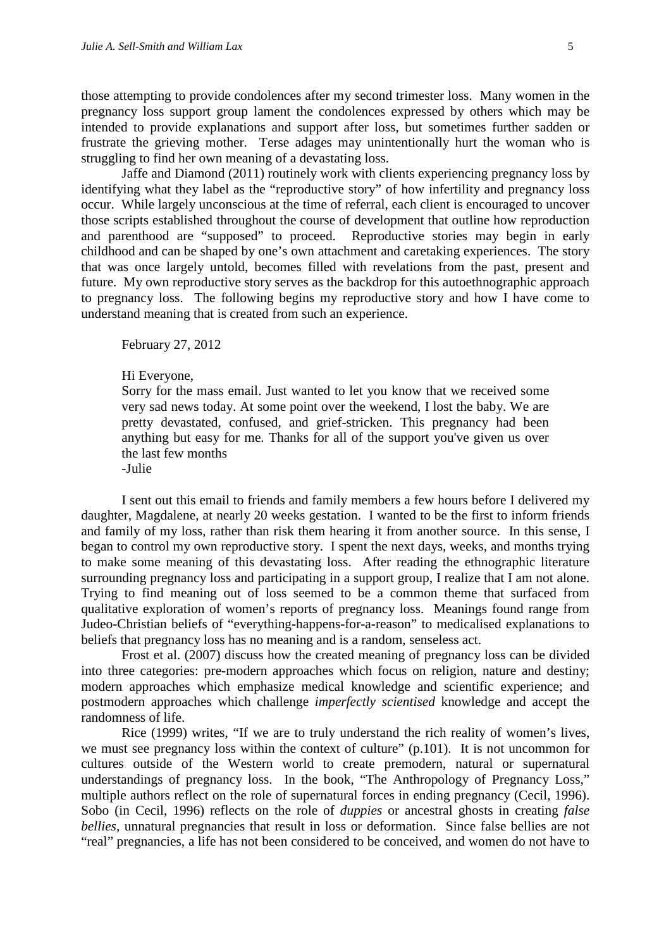those attempting to provide condolences after my second trimester loss. Many women in the pregnancy loss support group lament the condolences expressed by others which may be intended to provide explanations and support after loss, but sometimes further sadden or frustrate the grieving mother. Terse adages may unintentionally hurt the woman who is struggling to find her own meaning of a devastating loss.

Jaffe and Diamond (2011) routinely work with clients experiencing pregnancy loss by identifying what they label as the "reproductive story" of how infertility and pregnancy loss occur. While largely unconscious at the time of referral, each client is encouraged to uncover those scripts established throughout the course of development that outline how reproduction and parenthood are "supposed" to proceed. Reproductive stories may begin in early childhood and can be shaped by one's own attachment and caretaking experiences. The story that was once largely untold, becomes filled with revelations from the past, present and future. My own reproductive story serves as the backdrop for this autoethnographic approach to pregnancy loss. The following begins my reproductive story and how I have come to understand meaning that is created from such an experience.

February 27, 2012

Hi Everyone,

Sorry for the mass email. Just wanted to let you know that we received some very sad news today. At some point over the weekend, I lost the baby. We are pretty devastated, confused, and grief-stricken. This pregnancy had been anything but easy for me. Thanks for all of the support you've given us over the last few months

-Julie

I sent out this email to friends and family members a few hours before I delivered my daughter, Magdalene, at nearly 20 weeks gestation. I wanted to be the first to inform friends and family of my loss, rather than risk them hearing it from another source. In this sense, I began to control my own reproductive story. I spent the next days, weeks, and months trying to make some meaning of this devastating loss. After reading the ethnographic literature surrounding pregnancy loss and participating in a support group, I realize that I am not alone. Trying to find meaning out of loss seemed to be a common theme that surfaced from qualitative exploration of women's reports of pregnancy loss. Meanings found range from Judeo-Christian beliefs of "everything-happens-for-a-reason" to medicalised explanations to beliefs that pregnancy loss has no meaning and is a random, senseless act.

Frost et al. (2007) discuss how the created meaning of pregnancy loss can be divided into three categories: pre-modern approaches which focus on religion, nature and destiny; modern approaches which emphasize medical knowledge and scientific experience; and postmodern approaches which challenge *imperfectly scientised* knowledge and accept the randomness of life.

Rice (1999) writes, "If we are to truly understand the rich reality of women's lives, we must see pregnancy loss within the context of culture" (p.101). It is not uncommon for cultures outside of the Western world to create premodern, natural or supernatural understandings of pregnancy loss. In the book, "The Anthropology of Pregnancy Loss," multiple authors reflect on the role of supernatural forces in ending pregnancy (Cecil, 1996). Sobo (in Cecil, 1996) reflects on the role of *duppies* or ancestral ghosts in creating *false bellies*, unnatural pregnancies that result in loss or deformation. Since false bellies are not "real" pregnancies, a life has not been considered to be conceived, and women do not have to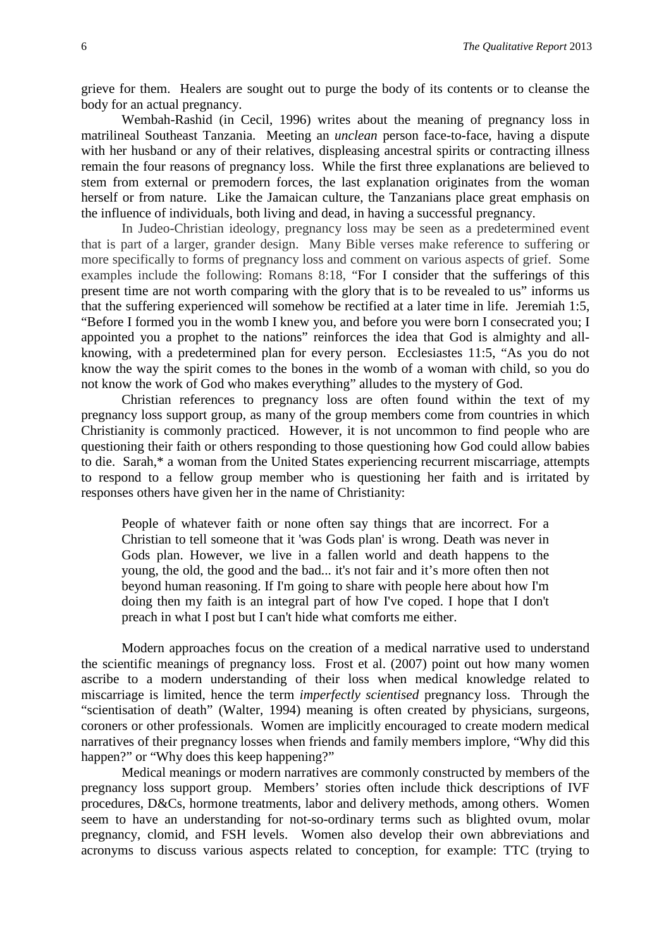grieve for them. Healers are sought out to purge the body of its contents or to cleanse the body for an actual pregnancy.

Wembah-Rashid (in Cecil, 1996) writes about the meaning of pregnancy loss in matrilineal Southeast Tanzania. Meeting an *unclean* person face-to-face, having a dispute with her husband or any of their relatives, displeasing ancestral spirits or contracting illness remain the four reasons of pregnancy loss. While the first three explanations are believed to stem from external or premodern forces, the last explanation originates from the woman herself or from nature. Like the Jamaican culture, the Tanzanians place great emphasis on the influence of individuals, both living and dead, in having a successful pregnancy.

In Judeo-Christian ideology, pregnancy loss may be seen as a predetermined event that is part of a larger, grander design. Many Bible verses make reference to suffering or more specifically to forms of pregnancy loss and comment on various aspects of grief. Some examples include the following: Romans 8:18, "For I consider that the sufferings of this present time are not worth comparing with the glory that is to be revealed to us" informs us that the suffering experienced will somehow be rectified at a later time in life. Jeremiah 1:5, "Before I formed you in the womb I knew you, and before you were born I consecrated you; I appointed you a prophet to the nations" reinforces the idea that God is almighty and allknowing, with a predetermined plan for every person. Ecclesiastes 11:5, "As you do not know the way the spirit comes to the bones in the womb of a woman with child, so you do not know the work of God who makes everything" alludes to the mystery of God.

Christian references to pregnancy loss are often found within the text of my pregnancy loss support group, as many of the group members come from countries in which Christianity is commonly practiced. However, it is not uncommon to find people who are questioning their faith or others responding to those questioning how God could allow babies to die. Sarah,\* a woman from the United States experiencing recurrent miscarriage, attempts to respond to a fellow group member who is questioning her faith and is irritated by responses others have given her in the name of Christianity:

People of whatever faith or none often say things that are incorrect. For a Christian to tell someone that it 'was Gods plan' is wrong. Death was never in Gods plan. However, we live in a fallen world and death happens to the young, the old, the good and the bad... it's not fair and it's more often then not beyond human reasoning. If I'm going to share with people here about how I'm doing then my faith is an integral part of how I've coped. I hope that I don't preach in what I post but I can't hide what comforts me either.

Modern approaches focus on the creation of a medical narrative used to understand the scientific meanings of pregnancy loss. Frost et al. (2007) point out how many women ascribe to a modern understanding of their loss when medical knowledge related to miscarriage is limited, hence the term *imperfectly scientised* pregnancy loss. Through the "scientisation of death" (Walter, 1994) meaning is often created by physicians, surgeons, coroners or other professionals. Women are implicitly encouraged to create modern medical narratives of their pregnancy losses when friends and family members implore, "Why did this happen?" or "Why does this keep happening?"

Medical meanings or modern narratives are commonly constructed by members of the pregnancy loss support group. Members' stories often include thick descriptions of IVF procedures, D&Cs, hormone treatments, labor and delivery methods, among others. Women seem to have an understanding for not-so-ordinary terms such as blighted ovum, molar pregnancy, clomid, and FSH levels. Women also develop their own abbreviations and acronyms to discuss various aspects related to conception, for example: TTC (trying to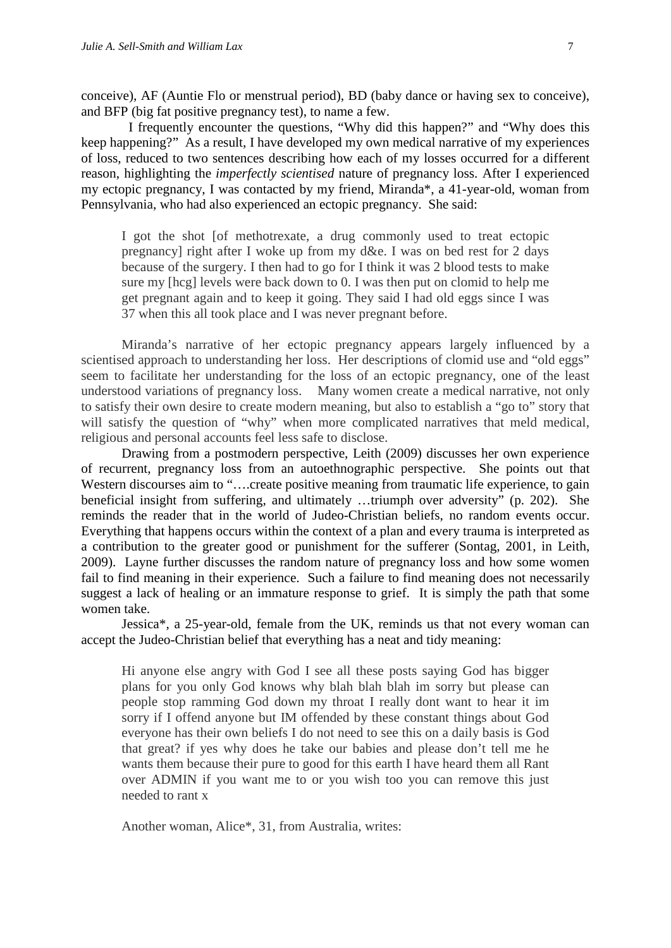conceive), AF (Auntie Flo or menstrual period), BD (baby dance or having sex to conceive), and BFP (big fat positive pregnancy test), to name a few.

 I frequently encounter the questions, "Why did this happen?" and "Why does this keep happening?" As a result, I have developed my own medical narrative of my experiences of loss, reduced to two sentences describing how each of my losses occurred for a different reason, highlighting the *imperfectly scientised* nature of pregnancy loss. After I experienced my ectopic pregnancy, I was contacted by my friend, Miranda\*, a 41-year-old, woman from Pennsylvania, who had also experienced an ectopic pregnancy. She said:

I got the shot [of methotrexate, a drug commonly used to treat ectopic pregnancy] right after I woke up from my d&e. I was on bed rest for 2 days because of the surgery. I then had to go for I think it was 2 blood tests to make sure my [hcg] levels were back down to 0. I was then put on clomid to help me get pregnant again and to keep it going. They said I had old eggs since I was 37 when this all took place and I was never pregnant before.

Miranda's narrative of her ectopic pregnancy appears largely influenced by a scientised approach to understanding her loss. Her descriptions of clomid use and "old eggs" seem to facilitate her understanding for the loss of an ectopic pregnancy, one of the least understood variations of pregnancy loss. Many women create a medical narrative, not only to satisfy their own desire to create modern meaning, but also to establish a "go to" story that will satisfy the question of "why" when more complicated narratives that meld medical, religious and personal accounts feel less safe to disclose.

Drawing from a postmodern perspective, Leith (2009) discusses her own experience of recurrent, pregnancy loss from an autoethnographic perspective. She points out that Western discourses aim to "....create positive meaning from traumatic life experience, to gain beneficial insight from suffering, and ultimately …triumph over adversity" (p. 202). She reminds the reader that in the world of Judeo-Christian beliefs, no random events occur. Everything that happens occurs within the context of a plan and every trauma is interpreted as a contribution to the greater good or punishment for the sufferer (Sontag, 2001, in Leith, 2009). Layne further discusses the random nature of pregnancy loss and how some women fail to find meaning in their experience. Such a failure to find meaning does not necessarily suggest a lack of healing or an immature response to grief. It is simply the path that some women take.

Jessica\*, a 25-year-old, female from the UK, reminds us that not every woman can accept the Judeo-Christian belief that everything has a neat and tidy meaning:

Hi anyone else angry with God I see all these posts saying God has bigger plans for you only God knows why blah blah blah im sorry but please can people stop ramming God down my throat I really dont want to hear it im sorry if I offend anyone but IM offended by these constant things about God everyone has their own beliefs I do not need to see this on a daily basis is God that great? if yes why does he take our babies and please don't tell me he wants them because their pure to good for this earth I have heard them all Rant over ADMIN if you want me to or you wish too you can remove this just needed to rant x

Another woman, Alice\*, 31, from Australia, writes: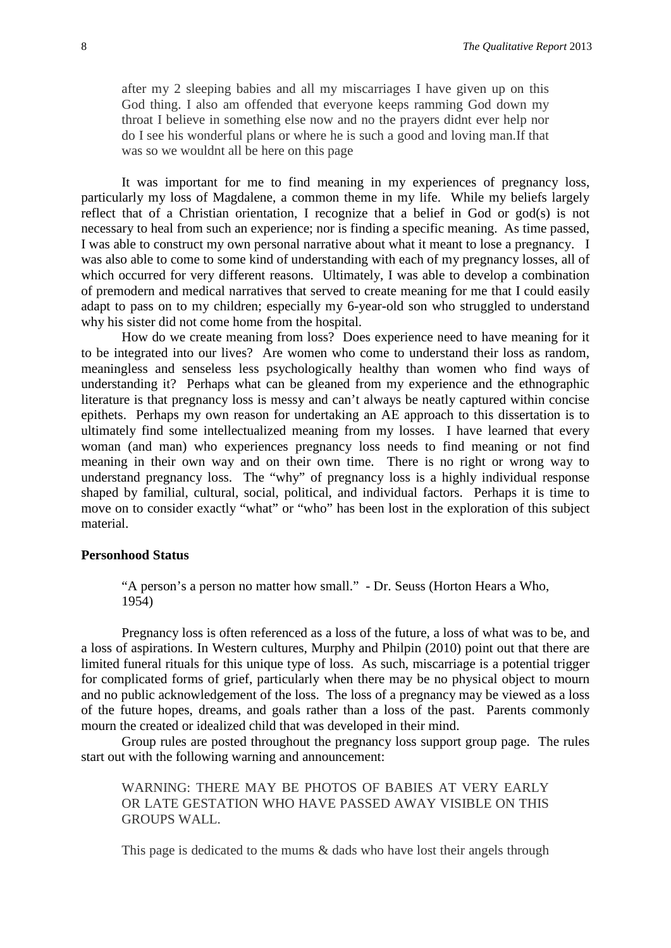after my 2 sleeping babies and all my miscarriages I have given up on this God thing. I also am offended that everyone keeps ramming God down my throat I believe in something else now and no the prayers didnt ever help nor do I see his wonderful plans or where he is such a good and loving man.If that was so we wouldnt all be here on this page

It was important for me to find meaning in my experiences of pregnancy loss, particularly my loss of Magdalene, a common theme in my life. While my beliefs largely reflect that of a Christian orientation, I recognize that a belief in God or god(s) is not necessary to heal from such an experience; nor is finding a specific meaning. As time passed, I was able to construct my own personal narrative about what it meant to lose a pregnancy. I was also able to come to some kind of understanding with each of my pregnancy losses, all of which occurred for very different reasons. Ultimately, I was able to develop a combination of premodern and medical narratives that served to create meaning for me that I could easily adapt to pass on to my children; especially my 6-year-old son who struggled to understand why his sister did not come home from the hospital.

How do we create meaning from loss? Does experience need to have meaning for it to be integrated into our lives? Are women who come to understand their loss as random, meaningless and senseless less psychologically healthy than women who find ways of understanding it? Perhaps what can be gleaned from my experience and the ethnographic literature is that pregnancy loss is messy and can't always be neatly captured within concise epithets. Perhaps my own reason for undertaking an AE approach to this dissertation is to ultimately find some intellectualized meaning from my losses. I have learned that every woman (and man) who experiences pregnancy loss needs to find meaning or not find meaning in their own way and on their own time. There is no right or wrong way to understand pregnancy loss. The "why" of pregnancy loss is a highly individual response shaped by familial, cultural, social, political, and individual factors. Perhaps it is time to move on to consider exactly "what" or "who" has been lost in the exploration of this subject material.

#### **Personhood Status**

"A person's a person no matter how small." - Dr. Seuss (Horton Hears a Who, 1954)

Pregnancy loss is often referenced as a loss of the future, a loss of what was to be, and a loss of aspirations. In Western cultures, Murphy and Philpin (2010) point out that there are limited funeral rituals for this unique type of loss. As such, miscarriage is a potential trigger for complicated forms of grief, particularly when there may be no physical object to mourn and no public acknowledgement of the loss. The loss of a pregnancy may be viewed as a loss of the future hopes, dreams, and goals rather than a loss of the past. Parents commonly mourn the created or idealized child that was developed in their mind.

Group rules are posted throughout the pregnancy loss support group page. The rules start out with the following warning and announcement:

WARNING: THERE MAY BE PHOTOS OF BABIES AT VERY EARLY OR LATE GESTATION WHO HAVE PASSED AWAY VISIBLE ON THIS GROUPS WALL.

This page is dedicated to the mums & dads who have lost their angels through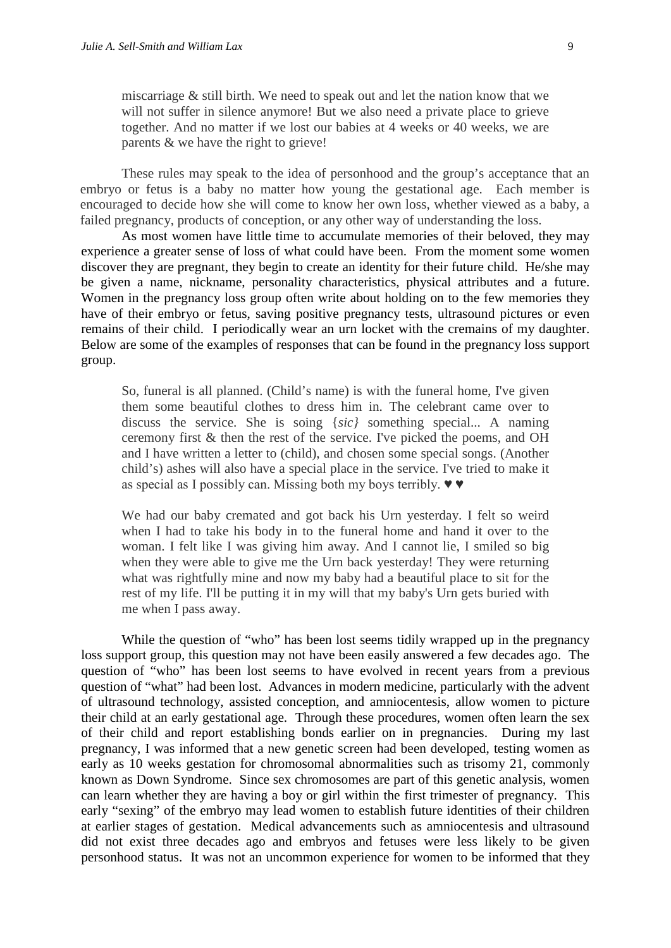miscarriage & still birth. We need to speak out and let the nation know that we will not suffer in silence anymore! But we also need a private place to grieve together. And no matter if we lost our babies at 4 weeks or 40 weeks, we are parents & we have the right to grieve!

These rules may speak to the idea of personhood and the group's acceptance that an embryo or fetus is a baby no matter how young the gestational age. Each member is encouraged to decide how she will come to know her own loss, whether viewed as a baby, a failed pregnancy, products of conception, or any other way of understanding the loss.

As most women have little time to accumulate memories of their beloved, they may experience a greater sense of loss of what could have been. From the moment some women discover they are pregnant, they begin to create an identity for their future child. He/she may be given a name, nickname, personality characteristics, physical attributes and a future. Women in the pregnancy loss group often write about holding on to the few memories they have of their embryo or fetus, saving positive pregnancy tests, ultrasound pictures or even remains of their child. I periodically wear an urn locket with the cremains of my daughter. Below are some of the examples of responses that can be found in the pregnancy loss support group.

So, funeral is all planned. (Child's name) is with the funeral home, I've given them some beautiful clothes to dress him in. The celebrant came over to discuss the service. She is soing {*sic}* something special... A naming ceremony first & then the rest of the service. I've picked the poems, and OH and I have written a letter to (child), and chosen some special songs. (Another child's) ashes will also have a special place in the service. I've tried to make it as special as I possibly can. Missing both my boys terribly. ♥ ♥

We had our baby cremated and got back his Urn yesterday. I felt so weird when I had to take his body in to the funeral home and hand it over to the woman. I felt like I was giving him away. And I cannot lie, I smiled so big when they were able to give me the Urn back yesterday! They were returning what was rightfully mine and now my baby had a beautiful place to sit for the rest of my life. I'll be putting it in my will that my baby's Urn gets buried with me when I pass away.

While the question of "who" has been lost seems tidily wrapped up in the pregnancy loss support group, this question may not have been easily answered a few decades ago. The question of "who" has been lost seems to have evolved in recent years from a previous question of "what" had been lost. Advances in modern medicine, particularly with the advent of ultrasound technology, assisted conception, and amniocentesis, allow women to picture their child at an early gestational age. Through these procedures, women often learn the sex of their child and report establishing bonds earlier on in pregnancies. During my last pregnancy, I was informed that a new genetic screen had been developed, testing women as early as 10 weeks gestation for chromosomal abnormalities such as trisomy 21, commonly known as Down Syndrome. Since sex chromosomes are part of this genetic analysis, women can learn whether they are having a boy or girl within the first trimester of pregnancy. This early "sexing" of the embryo may lead women to establish future identities of their children at earlier stages of gestation. Medical advancements such as amniocentesis and ultrasound did not exist three decades ago and embryos and fetuses were less likely to be given personhood status. It was not an uncommon experience for women to be informed that they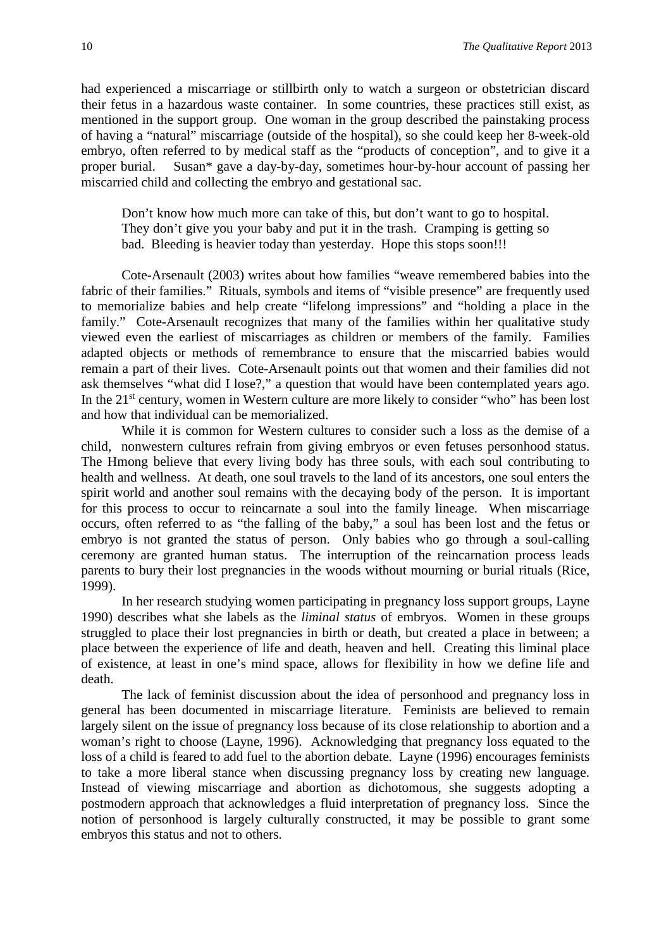had experienced a miscarriage or stillbirth only to watch a surgeon or obstetrician discard their fetus in a hazardous waste container. In some countries, these practices still exist, as mentioned in the support group. One woman in the group described the painstaking process of having a "natural" miscarriage (outside of the hospital), so she could keep her 8-week-old embryo, often referred to by medical staff as the "products of conception", and to give it a proper burial. Susan\* gave a day-by-day, sometimes hour-by-hour account of passing her miscarried child and collecting the embryo and gestational sac.

Don't know how much more can take of this, but don't want to go to hospital. They don't give you your baby and put it in the trash. Cramping is getting so bad. Bleeding is heavier today than yesterday. Hope this stops soon!!!

Cote-Arsenault (2003) writes about how families "weave remembered babies into the fabric of their families." Rituals, symbols and items of "visible presence" are frequently used to memorialize babies and help create "lifelong impressions" and "holding a place in the family." Cote-Arsenault recognizes that many of the families within her qualitative study viewed even the earliest of miscarriages as children or members of the family. Families adapted objects or methods of remembrance to ensure that the miscarried babies would remain a part of their lives. Cote-Arsenault points out that women and their families did not ask themselves "what did I lose?," a question that would have been contemplated years ago. In the  $21<sup>st</sup>$  century, women in Western culture are more likely to consider "who" has been lost and how that individual can be memorialized.

While it is common for Western cultures to consider such a loss as the demise of a child, nonwestern cultures refrain from giving embryos or even fetuses personhood status. The Hmong believe that every living body has three souls, with each soul contributing to health and wellness. At death, one soul travels to the land of its ancestors, one soul enters the spirit world and another soul remains with the decaying body of the person. It is important for this process to occur to reincarnate a soul into the family lineage. When miscarriage occurs, often referred to as "the falling of the baby," a soul has been lost and the fetus or embryo is not granted the status of person. Only babies who go through a soul-calling ceremony are granted human status. The interruption of the reincarnation process leads parents to bury their lost pregnancies in the woods without mourning or burial rituals (Rice, 1999).

In her research studying women participating in pregnancy loss support groups, Layne 1990) describes what she labels as the *liminal status* of embryos. Women in these groups struggled to place their lost pregnancies in birth or death, but created a place in between; a place between the experience of life and death, heaven and hell. Creating this liminal place of existence, at least in one's mind space, allows for flexibility in how we define life and death.

The lack of feminist discussion about the idea of personhood and pregnancy loss in general has been documented in miscarriage literature. Feminists are believed to remain largely silent on the issue of pregnancy loss because of its close relationship to abortion and a woman's right to choose (Layne, 1996). Acknowledging that pregnancy loss equated to the loss of a child is feared to add fuel to the abortion debate. Layne (1996) encourages feminists to take a more liberal stance when discussing pregnancy loss by creating new language. Instead of viewing miscarriage and abortion as dichotomous, she suggests adopting a postmodern approach that acknowledges a fluid interpretation of pregnancy loss. Since the notion of personhood is largely culturally constructed, it may be possible to grant some embryos this status and not to others.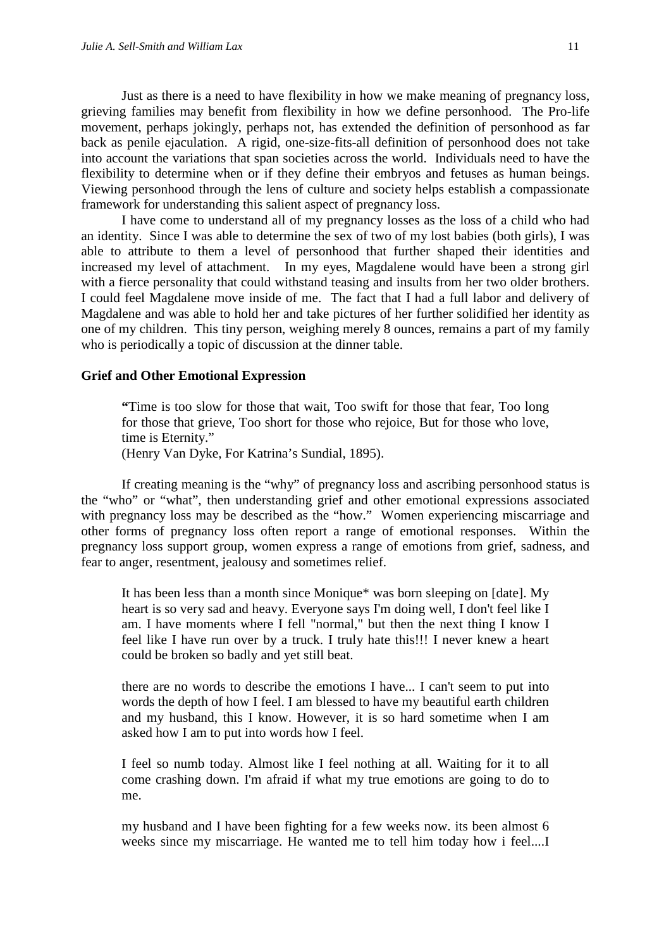Just as there is a need to have flexibility in how we make meaning of pregnancy loss, grieving families may benefit from flexibility in how we define personhood. The Pro-life movement, perhaps jokingly, perhaps not, has extended the definition of personhood as far back as penile ejaculation. A rigid, one-size-fits-all definition of personhood does not take into account the variations that span societies across the world. Individuals need to have the flexibility to determine when or if they define their embryos and fetuses as human beings. Viewing personhood through the lens of culture and society helps establish a compassionate framework for understanding this salient aspect of pregnancy loss.

I have come to understand all of my pregnancy losses as the loss of a child who had an identity. Since I was able to determine the sex of two of my lost babies (both girls), I was able to attribute to them a level of personhood that further shaped their identities and increased my level of attachment. In my eyes, Magdalene would have been a strong girl with a fierce personality that could withstand teasing and insults from her two older brothers. I could feel Magdalene move inside of me. The fact that I had a full labor and delivery of Magdalene and was able to hold her and take pictures of her further solidified her identity as one of my children. This tiny person, weighing merely 8 ounces, remains a part of my family who is periodically a topic of discussion at the dinner table.

#### **Grief and Other Emotional Expression**

**"**Time is too slow for those that wait, Too swift for those that fear, Too long for those that grieve, Too short for those who rejoice, But for those who love, time is Eternity."

(Henry Van Dyke, For Katrina's Sundial, 1895).

If creating meaning is the "why" of pregnancy loss and ascribing personhood status is the "who" or "what", then understanding grief and other emotional expressions associated with pregnancy loss may be described as the "how." Women experiencing miscarriage and other forms of pregnancy loss often report a range of emotional responses. Within the pregnancy loss support group, women express a range of emotions from grief, sadness, and fear to anger, resentment, jealousy and sometimes relief.

It has been less than a month since Monique\* was born sleeping on [date]. My heart is so very sad and heavy. Everyone says I'm doing well, I don't feel like I am. I have moments where I fell "normal," but then the next thing I know I feel like I have run over by a truck. I truly hate this!!! I never knew a heart could be broken so badly and yet still beat.

there are no words to describe the emotions I have... I can't seem to put into words the depth of how I feel. I am blessed to have my beautiful earth children and my husband, this I know. However, it is so hard sometime when I am asked how I am to put into words how I feel.

I feel so numb today. Almost like I feel nothing at all. Waiting for it to all come crashing down. I'm afraid if what my true emotions are going to do to me.

my husband and I have been fighting for a few weeks now. its been almost 6 weeks since my miscarriage. He wanted me to tell him today how i feel....I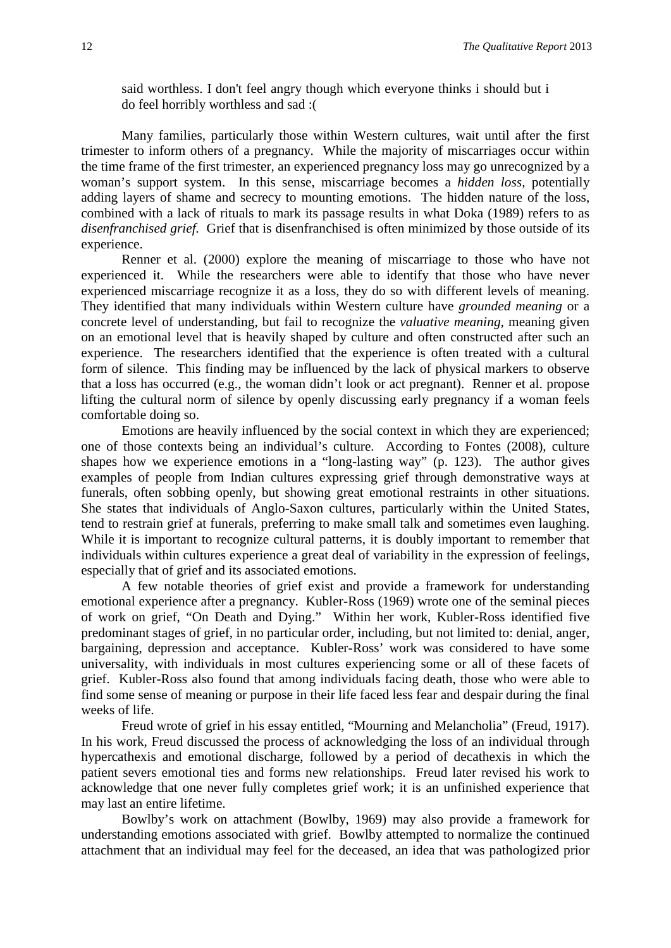said worthless. I don't feel angry though which everyone thinks i should but i do feel horribly worthless and sad :(

Many families, particularly those within Western cultures, wait until after the first trimester to inform others of a pregnancy. While the majority of miscarriages occur within the time frame of the first trimester, an experienced pregnancy loss may go unrecognized by a woman's support system. In this sense, miscarriage becomes a *hidden loss,* potentially adding layers of shame and secrecy to mounting emotions. The hidden nature of the loss, combined with a lack of rituals to mark its passage results in what Doka (1989) refers to as *disenfranchised grief.* Grief that is disenfranchised is often minimized by those outside of its experience.

Renner et al. (2000) explore the meaning of miscarriage to those who have not experienced it. While the researchers were able to identify that those who have never experienced miscarriage recognize it as a loss, they do so with different levels of meaning. They identified that many individuals within Western culture have *grounded meaning* or a concrete level of understanding, but fail to recognize the *valuative meaning,* meaning given on an emotional level that is heavily shaped by culture and often constructed after such an experience. The researchers identified that the experience is often treated with a cultural form of silence. This finding may be influenced by the lack of physical markers to observe that a loss has occurred (e.g., the woman didn't look or act pregnant). Renner et al. propose lifting the cultural norm of silence by openly discussing early pregnancy if a woman feels comfortable doing so.

Emotions are heavily influenced by the social context in which they are experienced; one of those contexts being an individual's culture. According to Fontes (2008), culture shapes how we experience emotions in a "long-lasting way" (p. 123). The author gives examples of people from Indian cultures expressing grief through demonstrative ways at funerals, often sobbing openly, but showing great emotional restraints in other situations. She states that individuals of Anglo-Saxon cultures, particularly within the United States, tend to restrain grief at funerals, preferring to make small talk and sometimes even laughing. While it is important to recognize cultural patterns, it is doubly important to remember that individuals within cultures experience a great deal of variability in the expression of feelings, especially that of grief and its associated emotions.

A few notable theories of grief exist and provide a framework for understanding emotional experience after a pregnancy. Kubler-Ross (1969) wrote one of the seminal pieces of work on grief, "On Death and Dying." Within her work, Kubler-Ross identified five predominant stages of grief, in no particular order, including, but not limited to: denial, anger, bargaining, depression and acceptance. Kubler-Ross' work was considered to have some universality, with individuals in most cultures experiencing some or all of these facets of grief. Kubler-Ross also found that among individuals facing death, those who were able to find some sense of meaning or purpose in their life faced less fear and despair during the final weeks of life.

Freud wrote of grief in his essay entitled, "Mourning and Melancholia" (Freud, 1917). In his work, Freud discussed the process of acknowledging the loss of an individual through hypercathexis and emotional discharge, followed by a period of decathexis in which the patient severs emotional ties and forms new relationships. Freud later revised his work to acknowledge that one never fully completes grief work; it is an unfinished experience that may last an entire lifetime.

Bowlby's work on attachment (Bowlby, 1969) may also provide a framework for understanding emotions associated with grief. Bowlby attempted to normalize the continued attachment that an individual may feel for the deceased, an idea that was pathologized prior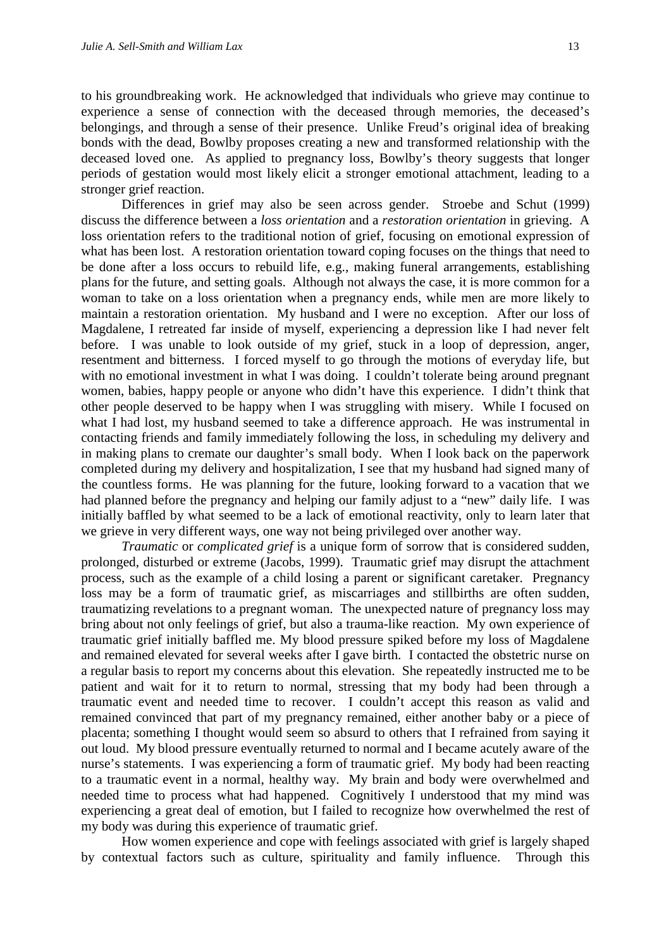to his groundbreaking work. He acknowledged that individuals who grieve may continue to experience a sense of connection with the deceased through memories, the deceased's belongings, and through a sense of their presence. Unlike Freud's original idea of breaking bonds with the dead, Bowlby proposes creating a new and transformed relationship with the deceased loved one. As applied to pregnancy loss, Bowlby's theory suggests that longer periods of gestation would most likely elicit a stronger emotional attachment, leading to a stronger grief reaction.

Differences in grief may also be seen across gender. Stroebe and Schut (1999) discuss the difference between a *loss orientation* and a *restoration orientation* in grieving. A loss orientation refers to the traditional notion of grief, focusing on emotional expression of what has been lost. A restoration orientation toward coping focuses on the things that need to be done after a loss occurs to rebuild life, e.g., making funeral arrangements, establishing plans for the future, and setting goals. Although not always the case, it is more common for a woman to take on a loss orientation when a pregnancy ends, while men are more likely to maintain a restoration orientation. My husband and I were no exception. After our loss of Magdalene, I retreated far inside of myself, experiencing a depression like I had never felt before. I was unable to look outside of my grief, stuck in a loop of depression, anger, resentment and bitterness. I forced myself to go through the motions of everyday life, but with no emotional investment in what I was doing. I couldn't tolerate being around pregnant women, babies, happy people or anyone who didn't have this experience. I didn't think that other people deserved to be happy when I was struggling with misery. While I focused on what I had lost, my husband seemed to take a difference approach. He was instrumental in contacting friends and family immediately following the loss, in scheduling my delivery and in making plans to cremate our daughter's small body. When I look back on the paperwork completed during my delivery and hospitalization, I see that my husband had signed many of the countless forms. He was planning for the future, looking forward to a vacation that we had planned before the pregnancy and helping our family adjust to a "new" daily life. I was initially baffled by what seemed to be a lack of emotional reactivity, only to learn later that we grieve in very different ways, one way not being privileged over another way.

*Traumatic* or *complicated grief* is a unique form of sorrow that is considered sudden, prolonged, disturbed or extreme (Jacobs, 1999). Traumatic grief may disrupt the attachment process, such as the example of a child losing a parent or significant caretaker. Pregnancy loss may be a form of traumatic grief, as miscarriages and stillbirths are often sudden, traumatizing revelations to a pregnant woman. The unexpected nature of pregnancy loss may bring about not only feelings of grief, but also a trauma-like reaction. My own experience of traumatic grief initially baffled me. My blood pressure spiked before my loss of Magdalene and remained elevated for several weeks after I gave birth. I contacted the obstetric nurse on a regular basis to report my concerns about this elevation. She repeatedly instructed me to be patient and wait for it to return to normal, stressing that my body had been through a traumatic event and needed time to recover. I couldn't accept this reason as valid and remained convinced that part of my pregnancy remained, either another baby or a piece of placenta; something I thought would seem so absurd to others that I refrained from saying it out loud. My blood pressure eventually returned to normal and I became acutely aware of the nurse's statements. I was experiencing a form of traumatic grief. My body had been reacting to a traumatic event in a normal, healthy way. My brain and body were overwhelmed and needed time to process what had happened. Cognitively I understood that my mind was experiencing a great deal of emotion, but I failed to recognize how overwhelmed the rest of my body was during this experience of traumatic grief.

How women experience and cope with feelings associated with grief is largely shaped by contextual factors such as culture, spirituality and family influence. Through this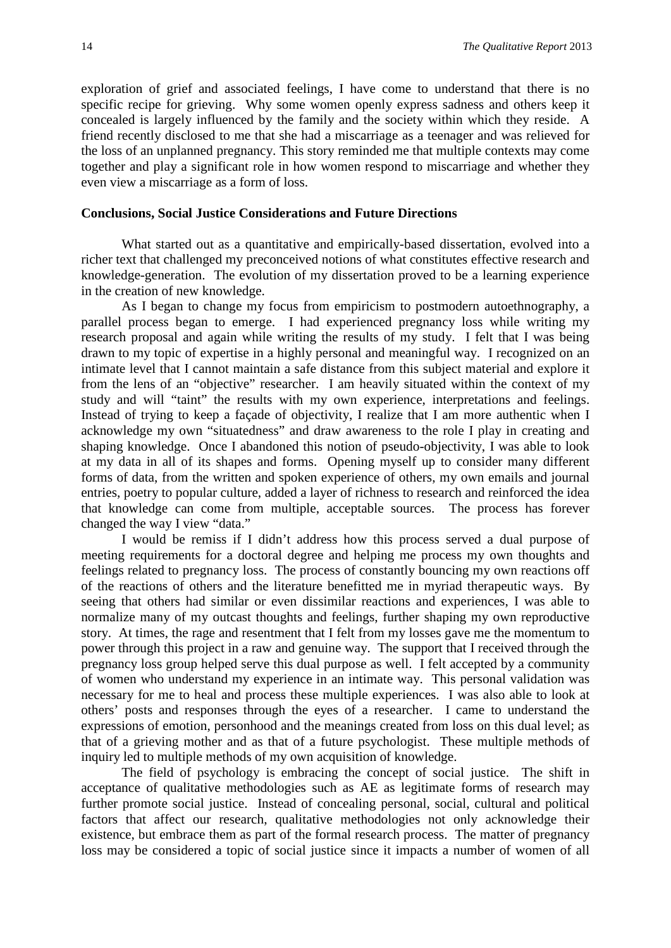exploration of grief and associated feelings, I have come to understand that there is no specific recipe for grieving. Why some women openly express sadness and others keep it concealed is largely influenced by the family and the society within which they reside. A friend recently disclosed to me that she had a miscarriage as a teenager and was relieved for the loss of an unplanned pregnancy. This story reminded me that multiple contexts may come together and play a significant role in how women respond to miscarriage and whether they even view a miscarriage as a form of loss.

#### **Conclusions, Social Justice Considerations and Future Directions**

What started out as a quantitative and empirically-based dissertation, evolved into a richer text that challenged my preconceived notions of what constitutes effective research and knowledge-generation. The evolution of my dissertation proved to be a learning experience in the creation of new knowledge.

As I began to change my focus from empiricism to postmodern autoethnography, a parallel process began to emerge. I had experienced pregnancy loss while writing my research proposal and again while writing the results of my study. I felt that I was being drawn to my topic of expertise in a highly personal and meaningful way. I recognized on an intimate level that I cannot maintain a safe distance from this subject material and explore it from the lens of an "objective" researcher. I am heavily situated within the context of my study and will "taint" the results with my own experience, interpretations and feelings. Instead of trying to keep a façade of objectivity, I realize that I am more authentic when I acknowledge my own "situatedness" and draw awareness to the role I play in creating and shaping knowledge. Once I abandoned this notion of pseudo-objectivity, I was able to look at my data in all of its shapes and forms. Opening myself up to consider many different forms of data, from the written and spoken experience of others, my own emails and journal entries, poetry to popular culture, added a layer of richness to research and reinforced the idea that knowledge can come from multiple, acceptable sources. The process has forever changed the way I view "data."

I would be remiss if I didn't address how this process served a dual purpose of meeting requirements for a doctoral degree and helping me process my own thoughts and feelings related to pregnancy loss. The process of constantly bouncing my own reactions off of the reactions of others and the literature benefitted me in myriad therapeutic ways. By seeing that others had similar or even dissimilar reactions and experiences, I was able to normalize many of my outcast thoughts and feelings, further shaping my own reproductive story. At times, the rage and resentment that I felt from my losses gave me the momentum to power through this project in a raw and genuine way. The support that I received through the pregnancy loss group helped serve this dual purpose as well. I felt accepted by a community of women who understand my experience in an intimate way. This personal validation was necessary for me to heal and process these multiple experiences. I was also able to look at others' posts and responses through the eyes of a researcher. I came to understand the expressions of emotion, personhood and the meanings created from loss on this dual level; as that of a grieving mother and as that of a future psychologist. These multiple methods of inquiry led to multiple methods of my own acquisition of knowledge.

The field of psychology is embracing the concept of social justice. The shift in acceptance of qualitative methodologies such as AE as legitimate forms of research may further promote social justice. Instead of concealing personal, social, cultural and political factors that affect our research, qualitative methodologies not only acknowledge their existence, but embrace them as part of the formal research process. The matter of pregnancy loss may be considered a topic of social justice since it impacts a number of women of all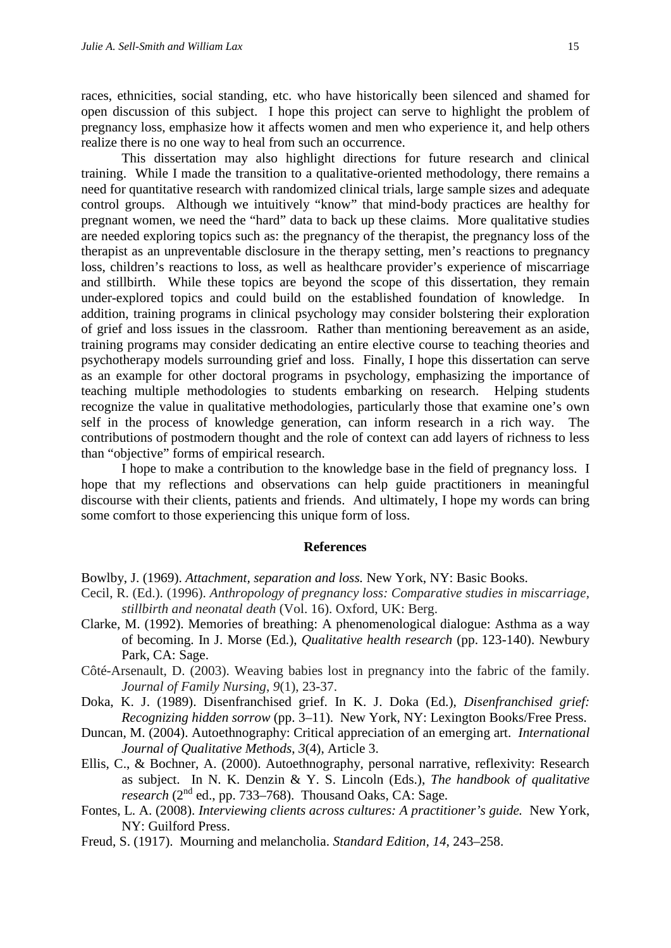races, ethnicities, social standing, etc. who have historically been silenced and shamed for open discussion of this subject. I hope this project can serve to highlight the problem of pregnancy loss, emphasize how it affects women and men who experience it, and help others realize there is no one way to heal from such an occurrence.

This dissertation may also highlight directions for future research and clinical training. While I made the transition to a qualitative-oriented methodology, there remains a need for quantitative research with randomized clinical trials, large sample sizes and adequate control groups. Although we intuitively "know" that mind-body practices are healthy for pregnant women, we need the "hard" data to back up these claims. More qualitative studies are needed exploring topics such as: the pregnancy of the therapist, the pregnancy loss of the therapist as an unpreventable disclosure in the therapy setting, men's reactions to pregnancy loss, children's reactions to loss, as well as healthcare provider's experience of miscarriage and stillbirth. While these topics are beyond the scope of this dissertation, they remain under-explored topics and could build on the established foundation of knowledge. In addition, training programs in clinical psychology may consider bolstering their exploration of grief and loss issues in the classroom. Rather than mentioning bereavement as an aside, training programs may consider dedicating an entire elective course to teaching theories and psychotherapy models surrounding grief and loss. Finally, I hope this dissertation can serve as an example for other doctoral programs in psychology, emphasizing the importance of teaching multiple methodologies to students embarking on research. Helping students recognize the value in qualitative methodologies, particularly those that examine one's own self in the process of knowledge generation, can inform research in a rich way. The contributions of postmodern thought and the role of context can add layers of richness to less than "objective" forms of empirical research.

I hope to make a contribution to the knowledge base in the field of pregnancy loss. I hope that my reflections and observations can help guide practitioners in meaningful discourse with their clients, patients and friends. And ultimately, I hope my words can bring some comfort to those experiencing this unique form of loss.

#### **References**

Bowlby, J. (1969). *Attachment, separation and loss.* New York, NY: Basic Books.

- Cecil, R. (Ed.). (1996). *Anthropology of pregnancy loss: Comparative studies in miscarriage, stillbirth and neonatal death* (Vol. 16). Oxford, UK: Berg.
- Clarke, M. (1992). Memories of breathing: A phenomenological dialogue: Asthma as a way of becoming. In J. Morse (Ed.), *Qualitative health research* (pp. 123-140). Newbury Park, CA: Sage.
- Côté-Arsenault, D. (2003). Weaving babies lost in pregnancy into the fabric of the family. *Journal of Family Nursing*, *9*(1), 23-37.
- Doka, K. J. (1989). Disenfranchised grief. In K. J. Doka (Ed.), *Disenfranchised grief: Recognizing hidden sorrow* (pp. 3–11). New York, NY: Lexington Books/Free Press.
- Duncan, M. (2004). Autoethnography: Critical appreciation of an emerging art. *International Journal of Qualitative Methods*, *3*(4), Article 3.
- Ellis, C., & Bochner, A. (2000). Autoethnography, personal narrative, reflexivity: Research as subject. In N. K. Denzin & Y. S. Lincoln (Eds.), *The handbook of qualitative research* (2nd ed., pp. 733–768). Thousand Oaks, CA: Sage.
- Fontes, L. A. (2008). *Interviewing clients across cultures: A practitioner's guide.* New York, NY: Guilford Press.
- Freud, S. (1917). Mourning and melancholia. *Standard Edition, 14*, 243–258.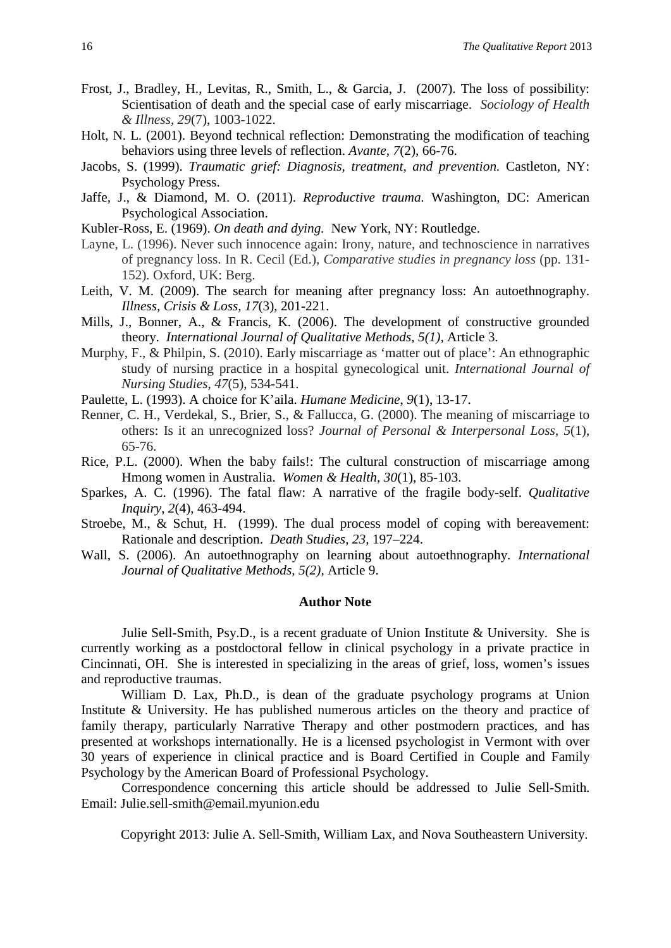- Frost, J., Bradley, H., Levitas, R., Smith, L., & Garcia, J. (2007). The loss of possibility: Scientisation of death and the special case of early miscarriage. *Sociology of Health & Illness, 29*(7), 1003-1022.
- Holt, N. L. (2001). Beyond technical reflection: Demonstrating the modification of teaching behaviors using three levels of reflection. *Avante*, *7*(2), 66-76.
- Jacobs, S. (1999). *Traumatic grief: Diagnosis, treatment, and prevention.* Castleton, NY: Psychology Press.
- Jaffe, J., & Diamond, M. O. (2011). *Reproductive trauma.* Washington, DC: American Psychological Association.
- Kubler-Ross, E. (1969). *On death and dying.* New York, NY: Routledge.
- Layne, L. (1996). Never such innocence again: Irony, nature, and technoscience in narratives of pregnancy loss. In R. Cecil (Ed.), *Comparative studies in pregnancy loss* (pp. 131- 152)*.* Oxford, UK: Berg.
- Leith, V. M. (2009). The search for meaning after pregnancy loss: An autoethnography. *Illness, Crisis & Loss, 17*(3), 201-221.
- Mills, J., Bonner, A., & Francis, K. (2006). The development of constructive grounded theory. *International Journal of Qualitative Methods, 5(1),* Article 3.
- Murphy, F., & Philpin, S. (2010). Early miscarriage as 'matter out of place': An ethnographic study of nursing practice in a hospital gynecological unit. *International Journal of Nursing Studies*, *47*(5), 534-541.
- Paulette, L. (1993). A choice for K'aila. *Humane Medicine*, *9*(1), 13-17.
- Renner, C. H., Verdekal, S., Brier, S., & Fallucca, G. (2000). The meaning of miscarriage to others: Is it an unrecognized loss? *Journal of Personal & Interpersonal Loss*, *5*(1), 65-76.
- Rice, P.L. (2000). When the baby fails!: The cultural construction of miscarriage among Hmong women in Australia. *Women & Health, 30*(1), 85-103.
- Sparkes, A. C. (1996). The fatal flaw: A narrative of the fragile body-self. *Qualitative Inquiry*, *2*(4), 463-494.
- Stroebe, M., & Schut, H. (1999). The dual process model of coping with bereavement: Rationale and description. *Death Studies, 23,* 197–224.
- Wall, S. (2006). An autoethnography on learning about autoethnography. *International Journal of Qualitative Methods, 5(2),* Article 9.

#### **Author Note**

Julie Sell-Smith, Psy.D., is a recent graduate of Union Institute & University. She is currently working as a postdoctoral fellow in clinical psychology in a private practice in Cincinnati, OH. She is interested in specializing in the areas of grief, loss, women's issues and reproductive traumas.

William D. Lax, Ph.D., is dean of the graduate psychology programs at Union Institute & University. He has published numerous articles on the theory and practice of family therapy, particularly Narrative Therapy and other postmodern practices, and has presented at workshops internationally. He is a licensed psychologist in Vermont with over 30 years of experience in clinical practice and is Board Certified in Couple and Family Psychology by the American Board of Professional Psychology.

Correspondence concerning this article should be addressed to Julie Sell-Smith. Email: Julie.sell-smith@email.myunion.edu

Copyright 2013: Julie A. Sell-Smith, William Lax, and Nova Southeastern University.